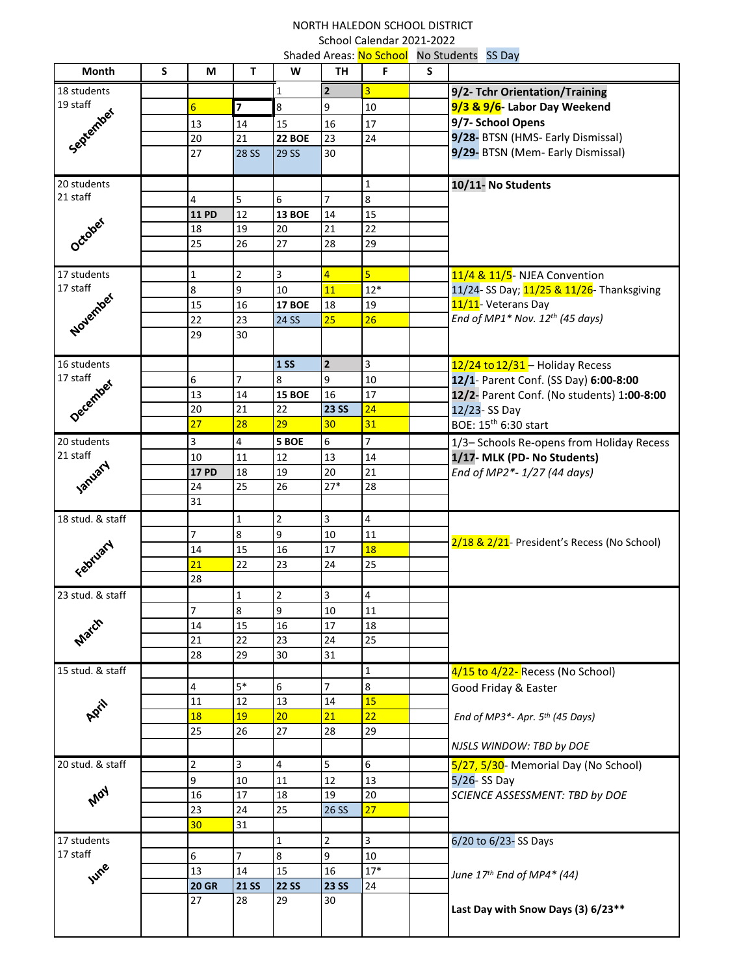## NORTH HALEDON SCHOOL DISTRICT School Calendar 2021-2022 Shaded Areas: No School No Students SS Day

| Month                               | S | М                        | Τ              | W                       | TH             | Shaucu Arcas. <mark>I'v School</mark><br>F. | S | <b>INO STANCTILS</b> 33 Day                              |
|-------------------------------------|---|--------------------------|----------------|-------------------------|----------------|---------------------------------------------|---|----------------------------------------------------------|
| 18 students                         |   |                          |                | $\mathbf{1}$            | $\overline{2}$ | 3                                           |   | 9/2- Tchr Orientation/Training                           |
| 19 staff                            |   | $6 \overline{}$          | $\overline{7}$ | 8                       | 9              | 10                                          |   | 9/3 & 9/6- Labor Day Weekend                             |
| September                           |   | 13                       | 14             | 15                      | 16             | 17                                          |   | 9/7- School Opens                                        |
|                                     |   | 20                       | 21             | 22 BOE                  | 23             | 24                                          |   | 9/28- BTSN (HMS- Early Dismissal)                        |
|                                     |   | 27                       | <b>28 SS</b>   | <b>29 SS</b>            | 30             |                                             |   | 9/29- BTSN (Mem- Early Dismissal)                        |
|                                     |   |                          |                |                         |                |                                             |   |                                                          |
| 20 students                         |   |                          |                |                         |                | $\mathbf 1$                                 |   | 10/11- No Students                                       |
| 21 staff                            |   | 4                        | 5              | 6                       | 7              | $\bf 8$                                     |   |                                                          |
|                                     |   | <b>11 PD</b>             | 12             | <b>13 BOE</b>           | 14             | 15                                          |   |                                                          |
|                                     |   | 18                       | 19             | 20                      | 21             | 22                                          |   |                                                          |
| October                             |   | 25                       | 26             | 27                      | 28             | 29                                          |   |                                                          |
|                                     |   |                          |                |                         |                |                                             |   |                                                          |
| 17 students<br>17 staff<br>November |   | $\mathbf{1}$             | $\overline{2}$ | 3                       | $\overline{4}$ | $\overline{5}$                              |   | 11/4 & 11/5- NJEA Convention                             |
|                                     |   | $\bf 8$                  | 9              | 10                      | 11             | $12*$                                       |   | 11/24- SS Day; 11/25 & 11/26- Thanksgiving               |
|                                     |   | 15                       | 16             | <b>17 BOE</b>           | 18             | 19                                          |   | 11/11- Veterans Day                                      |
|                                     |   | 22                       | 23             | 24 SS                   | 25             | 26                                          |   | End of MP1* Nov. $12^{th}$ (45 days)                     |
|                                     |   | 29                       | 30             |                         |                |                                             |   |                                                          |
| 16 students                         |   |                          |                | <b>1 SS</b>             | $\overline{2}$ | $\mathbf{3}$                                |   | 12/24 to 12/31 - Holiday Recess                          |
| 17 staff                            |   | 6                        | $\overline{7}$ | 8                       | 9              | 10                                          |   | 12/1- Parent Conf. (SS Day) 6:00-8:00                    |
|                                     |   | 13                       | 14             | <b>15 BOE</b>           | 16             | 17                                          |   | 12/2- Parent Conf. (No students) 1:00-8:00               |
| December                            |   | 20                       | 21             | 22                      | <b>23 SS</b>   | 24                                          |   | 12/23-SS Day                                             |
|                                     |   | 27                       | 28             | 29                      | 30             | 31                                          |   | BOE: 15 <sup>th</sup> 6:30 start                         |
| 20 students                         |   | 3                        | 4              | 5 BOE                   | 6              | $\overline{7}$                              |   | 1/3- Schools Re-opens from Holiday Recess                |
| 21 staff                            |   | 10                       | 11             | 12                      | 13             | 14                                          |   | 1/17- MLK (PD- No Students)                              |
|                                     |   | <b>17 PD</b>             | 18             | 19                      | 20             | 21                                          |   | End of MP2*-1/27 (44 days)                               |
| January                             |   | 24                       | 25             | 26                      | $27*$          | 28                                          |   |                                                          |
|                                     |   | 31                       |                |                         |                |                                             |   |                                                          |
| 18 stud. & staff                    |   |                          | $1\,$          | $\mathbf 2$             | 3              | 4                                           |   | 2/18 & 2/21- President's Recess (No School)              |
|                                     |   | $\overline{7}$           | 8              | 9                       | 10             | 11                                          |   |                                                          |
|                                     |   | 14                       | 15             | 16                      | 17             | 18                                          |   |                                                          |
| February                            |   | 21                       | 22             | 23                      | 24             | 25                                          |   |                                                          |
|                                     |   | 28                       |                |                         |                |                                             |   |                                                          |
| 23 stud. & staff                    |   |                          | 1              | $\mathbf 2$             | 3              | 4                                           |   |                                                          |
|                                     |   | $\overline{\mathcal{I}}$ | 8              | 9                       | 10             | $11\,$                                      |   |                                                          |
| March                               |   | 14                       | 15             | 16                      | 17             | 18                                          |   |                                                          |
|                                     |   | 21<br>28                 | 22<br>29       | 23<br>30                | 24<br>31       | 25                                          |   |                                                          |
| 15 stud. & staff                    |   |                          |                |                         |                | 1                                           |   |                                                          |
| April                               |   | 4                        | $5*$           | 6                       | $\overline{7}$ | $\overline{8}$                              |   | 4/15 to 4/22- Recess (No School)<br>Good Friday & Easter |
|                                     |   | 11                       | 12             | 13                      | 14             | 15                                          |   |                                                          |
|                                     |   | 18                       | 19             | 20                      | 21             | 22                                          |   | End of MP3*- Apr. 5 <sup>th</sup> (45 Days)              |
|                                     |   | 25                       | 26             | 27                      | 28             | 29                                          |   |                                                          |
|                                     |   |                          |                |                         |                |                                             |   | NJSLS WINDOW: TBD by DOE                                 |
| 20 stud. & staff                    |   | $\overline{2}$           | 3              | $\overline{\mathbf{4}}$ | 5              | $\boldsymbol{6}$                            |   | 5/27, 5/30- Memorial Day (No School)                     |
| Moy                                 |   | $\overline{9}$           | 10             | 11                      | 12             | 13                                          |   | $5/26 - SS$ Day                                          |
|                                     |   | 16                       | 17             | 18                      | 19             | 20                                          |   | SCIENCE ASSESSMENT: TBD by DOE                           |
|                                     |   | 23                       | 24             | 25                      | 26 SS          | 27                                          |   |                                                          |
|                                     |   | 30                       | 31             |                         |                |                                             |   |                                                          |
| 17 students<br>17 staff             |   |                          |                | $\mathbf 1$             | $\overline{2}$ | $\overline{\mathbf{3}}$                     |   | 6/20 to 6/23-SS Days                                     |
|                                     |   | 6                        | $\overline{7}$ | $\bf 8$                 | 9              | 10                                          |   |                                                          |
| June                                |   | 13                       | 14             | 15                      | 16             | $17*$                                       |   | June 17 <sup>th</sup> End of MP4* (44)                   |
|                                     |   | <b>20 GR</b>             | <b>21 SS</b>   | <b>22 SS</b>            | <b>23 SS</b>   | 24                                          |   |                                                          |
|                                     |   | 27                       | 28             | 29                      | 30             |                                             |   | Last Day with Snow Days (3) 6/23**                       |
|                                     |   |                          |                |                         |                |                                             |   |                                                          |